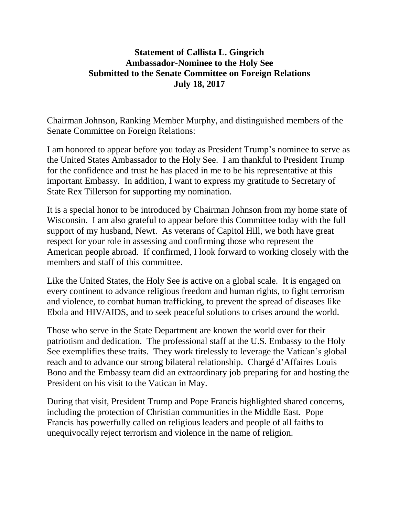## **Statement of Callista L. Gingrich Ambassador-Nominee to the Holy See Submitted to the Senate Committee on Foreign Relations July 18, 2017**

Chairman Johnson, Ranking Member Murphy, and distinguished members of the Senate Committee on Foreign Relations:

I am honored to appear before you today as President Trump's nominee to serve as the United States Ambassador to the Holy See. I am thankful to President Trump for the confidence and trust he has placed in me to be his representative at this important Embassy. In addition, I want to express my gratitude to Secretary of State Rex Tillerson for supporting my nomination.

It is a special honor to be introduced by Chairman Johnson from my home state of Wisconsin. I am also grateful to appear before this Committee today with the full support of my husband, Newt. As veterans of Capitol Hill, we both have great respect for your role in assessing and confirming those who represent the American people abroad. If confirmed, I look forward to working closely with the members and staff of this committee.

Like the United States, the Holy See is active on a global scale. It is engaged on every continent to advance religious freedom and human rights, to fight terrorism and violence, to combat human trafficking, to prevent the spread of diseases like Ebola and HIV/AIDS, and to seek peaceful solutions to crises around the world.

Those who serve in the State Department are known the world over for their patriotism and dedication. The professional staff at the U.S. Embassy to the Holy See exemplifies these traits. They work tirelessly to leverage the Vatican's global reach and to advance our strong bilateral relationship. Chargé d'Affaires Louis Bono and the Embassy team did an extraordinary job preparing for and hosting the President on his visit to the Vatican in May.

During that visit, President Trump and Pope Francis highlighted shared concerns, including the protection of Christian communities in the Middle East. Pope Francis has powerfully called on religious leaders and people of all faiths to unequivocally reject terrorism and violence in the name of religion.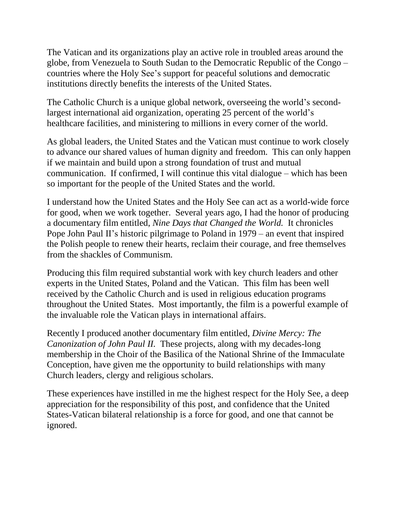The Vatican and its organizations play an active role in troubled areas around the globe, from Venezuela to South Sudan to the Democratic Republic of the Congo – countries where the Holy See's support for peaceful solutions and democratic institutions directly benefits the interests of the United States.

The Catholic Church is a unique global network, overseeing the world's secondlargest international aid organization, operating 25 percent of the world's healthcare facilities, and ministering to millions in every corner of the world.

As global leaders, the United States and the Vatican must continue to work closely to advance our shared values of human dignity and freedom. This can only happen if we maintain and build upon a strong foundation of trust and mutual communication. If confirmed, I will continue this vital dialogue – which has been so important for the people of the United States and the world.

I understand how the United States and the Holy See can act as a world-wide force for good, when we work together. Several years ago, I had the honor of producing a documentary film entitled, *Nine Days that Changed the World.* It chronicles Pope John Paul II's historic pilgrimage to Poland in 1979 – an event that inspired the Polish people to renew their hearts, reclaim their courage, and free themselves from the shackles of Communism.

Producing this film required substantial work with key church leaders and other experts in the United States, Poland and the Vatican. This film has been well received by the Catholic Church and is used in religious education programs throughout the United States. Most importantly, the film is a powerful example of the invaluable role the Vatican plays in international affairs.

Recently I produced another documentary film entitled, *Divine Mercy: The Canonization of John Paul II.* These projects, along with my decades-long membership in the Choir of the Basilica of the National Shrine of the Immaculate Conception, have given me the opportunity to build relationships with many Church leaders, clergy and religious scholars.

These experiences have instilled in me the highest respect for the Holy See, a deep appreciation for the responsibility of this post, and confidence that the United States-Vatican bilateral relationship is a force for good, and one that cannot be ignored.